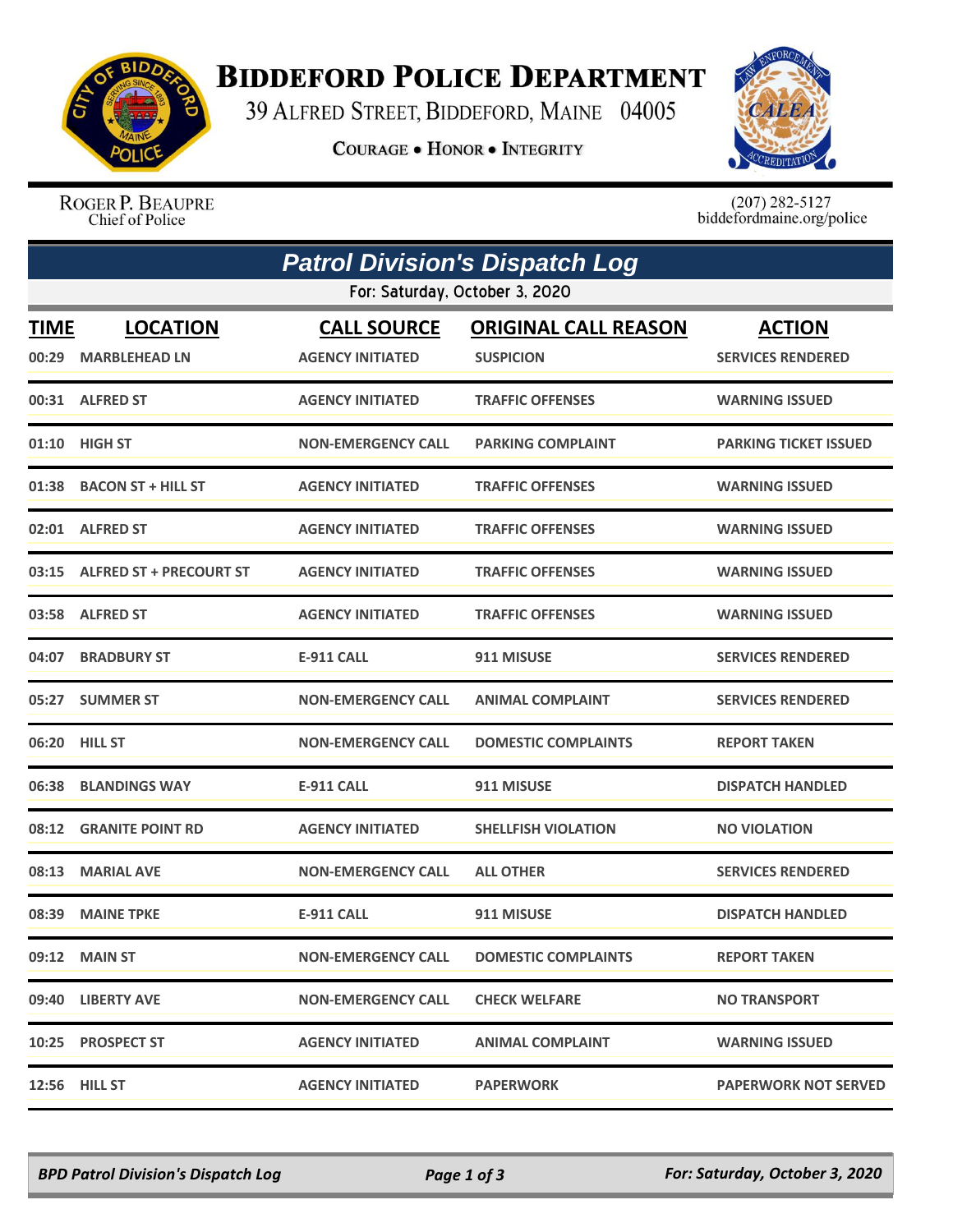

## **BIDDEFORD POLICE DEPARTMENT**

39 ALFRED STREET, BIDDEFORD, MAINE 04005

**COURAGE . HONOR . INTEGRITY** 



ROGER P. BEAUPRE Chief of Police

 $(207)$  282-5127<br>biddefordmaine.org/police

| <b>Patrol Division's Dispatch Log</b> |                                         |                                               |                                                 |                                           |  |  |  |  |
|---------------------------------------|-----------------------------------------|-----------------------------------------------|-------------------------------------------------|-------------------------------------------|--|--|--|--|
| For: Saturday, October 3, 2020        |                                         |                                               |                                                 |                                           |  |  |  |  |
| <b>TIME</b><br>00:29                  | <b>LOCATION</b><br><b>MARBLEHEAD LN</b> | <b>CALL SOURCE</b><br><b>AGENCY INITIATED</b> | <b>ORIGINAL CALL REASON</b><br><b>SUSPICION</b> | <b>ACTION</b><br><b>SERVICES RENDERED</b> |  |  |  |  |
|                                       | 00:31 ALFRED ST                         | <b>AGENCY INITIATED</b>                       | <b>TRAFFIC OFFENSES</b>                         | <b>WARNING ISSUED</b>                     |  |  |  |  |
|                                       | 01:10 HIGH ST                           | <b>NON-EMERGENCY CALL</b>                     | <b>PARKING COMPLAINT</b>                        | PARKING TICKET ISSUED                     |  |  |  |  |
| 01:38                                 | <b>BACON ST + HILL ST</b>               | <b>AGENCY INITIATED</b>                       | <b>TRAFFIC OFFENSES</b>                         | <b>WARNING ISSUED</b>                     |  |  |  |  |
|                                       | 02:01 ALFRED ST                         | <b>AGENCY INITIATED</b>                       | <b>TRAFFIC OFFENSES</b>                         | <b>WARNING ISSUED</b>                     |  |  |  |  |
|                                       | 03:15 ALFRED ST + PRECOURT ST           | <b>AGENCY INITIATED</b>                       | <b>TRAFFIC OFFENSES</b>                         | <b>WARNING ISSUED</b>                     |  |  |  |  |
|                                       | 03:58 ALFRED ST                         | <b>AGENCY INITIATED</b>                       | <b>TRAFFIC OFFENSES</b>                         | <b>WARNING ISSUED</b>                     |  |  |  |  |
| 04:07                                 | <b>BRADBURY ST</b>                      | <b>E-911 CALL</b>                             | 911 MISUSE                                      | <b>SERVICES RENDERED</b>                  |  |  |  |  |
| 05:27                                 | <b>SUMMER ST</b>                        | <b>NON-EMERGENCY CALL</b>                     | <b>ANIMAL COMPLAINT</b>                         | <b>SERVICES RENDERED</b>                  |  |  |  |  |
|                                       | 06:20 HILL ST                           | <b>NON-EMERGENCY CALL</b>                     | <b>DOMESTIC COMPLAINTS</b>                      | <b>REPORT TAKEN</b>                       |  |  |  |  |
| 06:38                                 | <b>BLANDINGS WAY</b>                    | <b>E-911 CALL</b>                             | 911 MISUSE                                      | <b>DISPATCH HANDLED</b>                   |  |  |  |  |
| 08:12                                 | <b>GRANITE POINT RD</b>                 | <b>AGENCY INITIATED</b>                       | <b>SHELLFISH VIOLATION</b>                      | NO VIOLATION                              |  |  |  |  |
| 08:13                                 | <b>MARIAL AVE</b>                       | <b>NON-EMERGENCY CALL</b>                     | <b>ALL OTHER</b>                                | <b>SERVICES RENDERED</b>                  |  |  |  |  |
| 08:39                                 | <b>MAINE TPKE</b>                       | <b>E-911 CALL</b>                             | 911 MISUSE                                      | <b>DISPATCH HANDLED</b>                   |  |  |  |  |
|                                       | 09:12 MAIN ST                           | <b>NON-EMERGENCY CALL</b>                     | <b>DOMESTIC COMPLAINTS</b>                      | <b>REPORT TAKEN</b>                       |  |  |  |  |
|                                       | 09:40 LIBERTY AVE                       | <b>NON-EMERGENCY CALL</b>                     | <b>CHECK WELFARE</b>                            | <b>NO TRANSPORT</b>                       |  |  |  |  |
|                                       | 10:25 PROSPECT ST                       | <b>AGENCY INITIATED</b>                       | <b>ANIMAL COMPLAINT</b>                         | <b>WARNING ISSUED</b>                     |  |  |  |  |
|                                       | <b>12:56 HILL ST</b>                    | <b>AGENCY INITIATED</b>                       | <b>PAPERWORK</b>                                | <b>PAPERWORK NOT SERVED</b>               |  |  |  |  |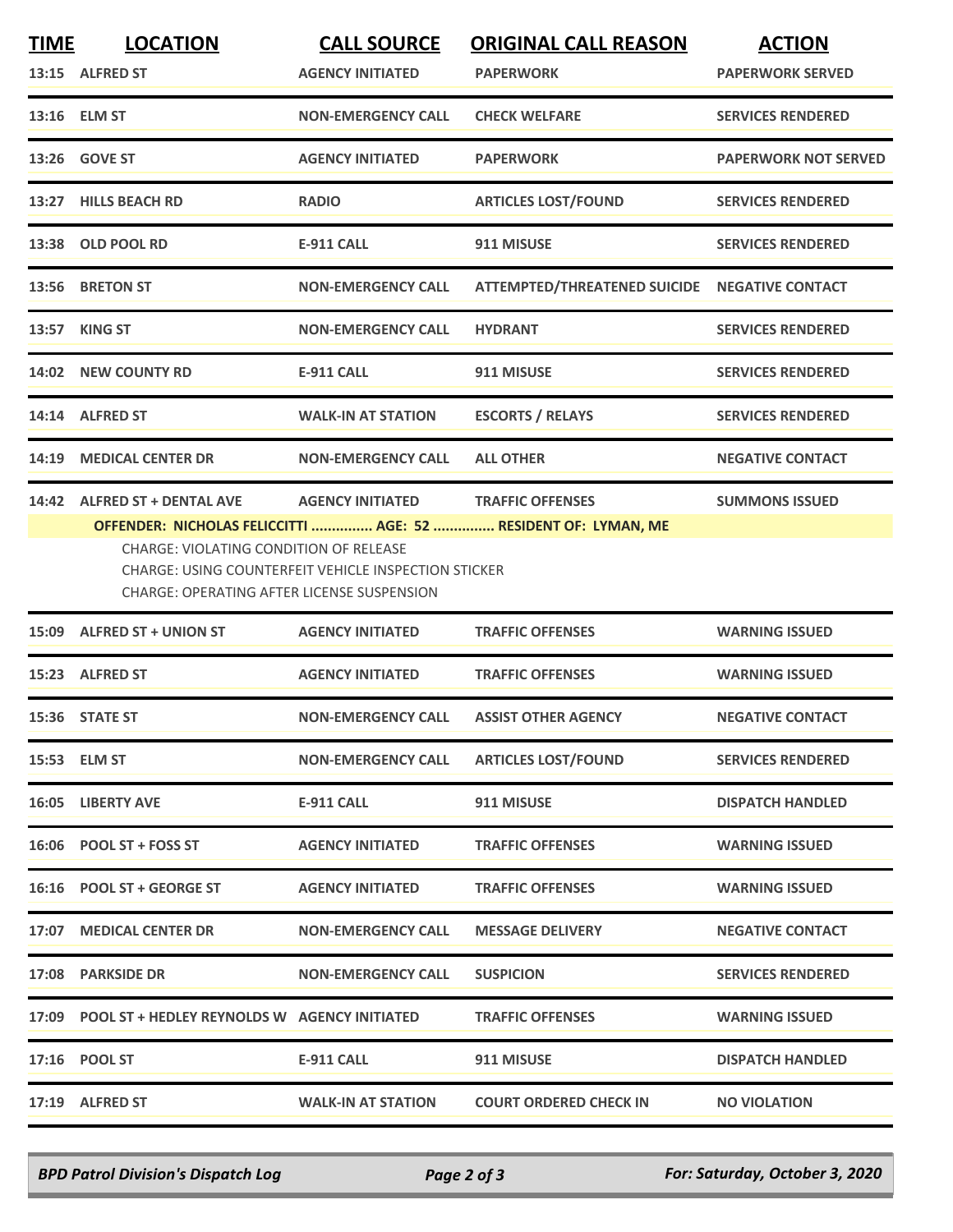| <b>TIME</b> | <b>LOCATION</b><br>13:15 ALFRED ST                                              | <b>CALL SOURCE</b><br><b>AGENCY INITIATED</b>                                          | <b>ORIGINAL CALL REASON</b><br><b>PAPERWORK</b>                                           | <b>ACTION</b><br><b>PAPERWORK SERVED</b> |
|-------------|---------------------------------------------------------------------------------|----------------------------------------------------------------------------------------|-------------------------------------------------------------------------------------------|------------------------------------------|
|             | 13:16 ELM ST                                                                    | <b>NON-EMERGENCY CALL</b>                                                              | <b>CHECK WELFARE</b>                                                                      | <b>SERVICES RENDERED</b>                 |
|             | 13:26 GOVE ST                                                                   | <b>AGENCY INITIATED</b>                                                                | <b>PAPERWORK</b>                                                                          | <b>PAPERWORK NOT SERVED</b>              |
|             | 13:27 HILLS BEACH RD                                                            | <b>RADIO</b>                                                                           | <b>ARTICLES LOST/FOUND</b>                                                                | <b>SERVICES RENDERED</b>                 |
|             | 13:38 OLD POOL RD                                                               | <b>E-911 CALL</b>                                                                      | 911 MISUSE                                                                                | <b>SERVICES RENDERED</b>                 |
|             | 13:56 BRETON ST                                                                 | <b>NON-EMERGENCY CALL</b>                                                              | ATTEMPTED/THREATENED SUICIDE NEGATIVE CONTACT                                             |                                          |
|             | 13:57 KING ST                                                                   | <b>NON-EMERGENCY CALL</b>                                                              | <b>HYDRANT</b>                                                                            | <b>SERVICES RENDERED</b>                 |
|             | 14:02 NEW COUNTY RD                                                             | <b>E-911 CALL</b>                                                                      | 911 MISUSE                                                                                | <b>SERVICES RENDERED</b>                 |
|             | 14:14 ALFRED ST                                                                 | <b>WALK-IN AT STATION</b>                                                              | <b>ESCORTS / RELAYS</b>                                                                   | <b>SERVICES RENDERED</b>                 |
| 14:19       | <b>MEDICAL CENTER DR</b>                                                        | <b>NON-EMERGENCY CALL</b>                                                              | <b>ALL OTHER</b>                                                                          | <b>NEGATIVE CONTACT</b>                  |
|             | 14:42 ALFRED ST + DENTAL AVE<br>CHARGE: VIOLATING CONDITION OF RELEASE          | <b>AGENCY INITIATED</b><br><b>CHARGE: USING COUNTERFEIT VEHICLE INSPECTION STICKER</b> | <b>TRAFFIC OFFENSES</b><br>OFFENDER: NICHOLAS FELICCITTI  AGE: 52  RESIDENT OF: LYMAN, ME | <b>SUMMONS ISSUED</b>                    |
|             | <b>CHARGE: OPERATING AFTER LICENSE SUSPENSION</b><br>15:09 ALFRED ST + UNION ST | <b>AGENCY INITIATED</b>                                                                | <b>TRAFFIC OFFENSES</b>                                                                   | <b>WARNING ISSUED</b>                    |
|             | 15:23 ALFRED ST                                                                 | <b>AGENCY INITIATED</b>                                                                | <b>TRAFFIC OFFENSES</b>                                                                   | <b>WARNING ISSUED</b>                    |
|             | 15:36 STATE ST                                                                  | <b>NON-EMERGENCY CALL</b>                                                              | <b>ASSIST OTHER AGENCY</b>                                                                | <b>NEGATIVE CONTACT</b>                  |
|             | 15:53 ELM ST                                                                    | <b>NON-EMERGENCY CALL</b>                                                              | <b>ARTICLES LOST/FOUND</b>                                                                | <b>SERVICES RENDERED</b>                 |
|             | 16:05 LIBERTY AVE                                                               | <b>E-911 CALL</b>                                                                      | 911 MISUSE                                                                                | <b>DISPATCH HANDLED</b>                  |
|             | 16:06 POOL ST + FOSS ST                                                         | <b>AGENCY INITIATED</b>                                                                | <b>TRAFFIC OFFENSES</b>                                                                   | <b>WARNING ISSUED</b>                    |
|             | 16:16 POOL ST + GEORGE ST                                                       | <b>AGENCY INITIATED</b>                                                                | <b>TRAFFIC OFFENSES</b>                                                                   | <b>WARNING ISSUED</b>                    |
|             | 17:07 MEDICAL CENTER DR                                                         | <b>NON-EMERGENCY CALL</b>                                                              | <b>MESSAGE DELIVERY</b>                                                                   | <b>NEGATIVE CONTACT</b>                  |
|             | 17:08 PARKSIDE DR                                                               | <b>NON-EMERGENCY CALL</b>                                                              | <b>SUSPICION</b>                                                                          | <b>SERVICES RENDERED</b>                 |
|             | 17:09 POOL ST + HEDLEY REYNOLDS W AGENCY INITIATED                              |                                                                                        | <b>TRAFFIC OFFENSES</b>                                                                   | <b>WARNING ISSUED</b>                    |
|             | 17:16 POOL ST                                                                   | <b>E-911 CALL</b>                                                                      | 911 MISUSE                                                                                | <b>DISPATCH HANDLED</b>                  |
|             | 17:19 ALFRED ST                                                                 | <b>WALK-IN AT STATION</b>                                                              | <b>COURT ORDERED CHECK IN</b>                                                             | <b>NO VIOLATION</b>                      |

*BPD Patrol Division's Dispatch Log Page 2 of 3 For: Saturday, October 3, 2020*